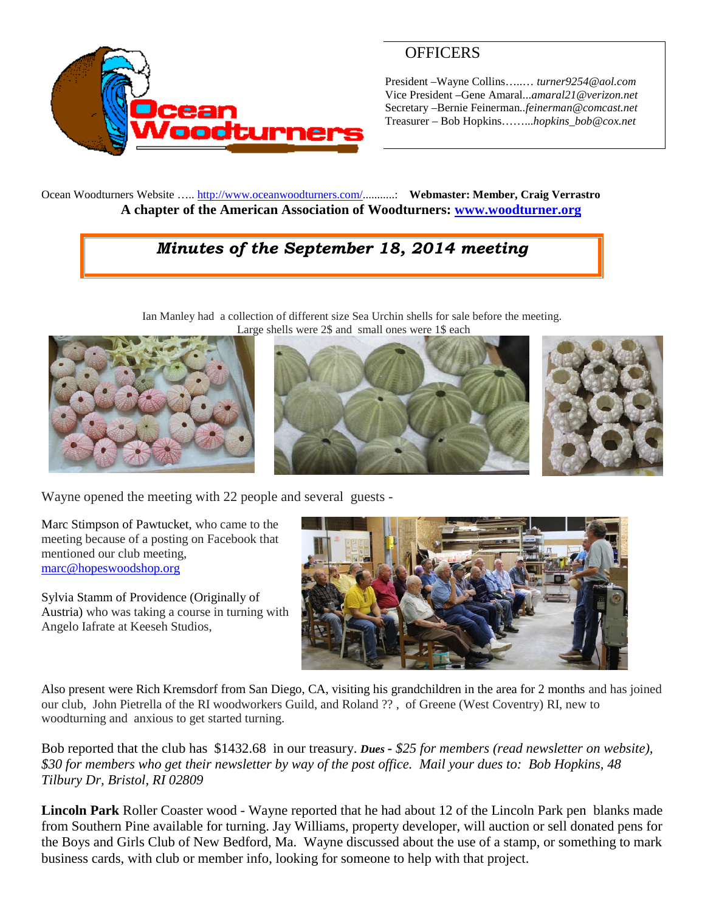

# **OFFICERS**

President –Wayne Collins…..… *turner9254@aol.com* Vice President –Gene Amaral...*amaral21@verizon.net* Secretary –Bernie Feinerman*..feinerman@comcast.net* Treasurer – Bob Hopkins……...*hopkins\_bob@cox.net*

Ocean Woodturners Website ….. <http://www.oceanwoodturners.com/>...........: **Webmaster: Member, Craig Verrastro A chapter of the American Association of Woodturners: [www.woodturner.org](http://www.woodturner.org/)**

# *Minutes of the September 18, 2014 meeting*

Ian Manley had a collection of different size Sea Urchin shells for sale before the meeting. Large shells were 2\$ and small ones were 1\$ each







Wayne opened the meeting with 22 people and several guests -

Marc Stimpson of Pawtucket, who came to the meeting because of a posting on Facebook that mentioned our club meeting, [marc@hopeswoodshop.org](mailto:marc@hopeswoodshop.org)



Sylvia Stamm of Providence (Originally of Austria) who was taking a course in turning with Angelo Iafrate at Keeseh Studios,

Also present were Rich Kremsdorf from San Diego, CA, visiting his grandchildren in the area for 2 months and has joined our club, John Pietrella of the RI woodworkers Guild, and Roland ?? , of Greene (West Coventry) RI, new to woodturning and anxious to get started turning.

Bob reported that the club has \$1432.68 in our treasury. *Dues - \$25 for members (read newsletter on website), \$30 for members who get their newsletter by way of the post office. Mail your dues to: Bob Hopkins, 48 Tilbury Dr, Bristol, RI 02809*

**Lincoln Park** Roller Coaster wood - Wayne reported that he had about 12 of the Lincoln Park pen blanks made from Southern Pine available for turning. Jay Williams, property developer, will auction or sell donated pens for the Boys and Girls Club of New Bedford, Ma. Wayne discussed about the use of a stamp, or something to mark business cards, with club or member info, looking for someone to help with that project.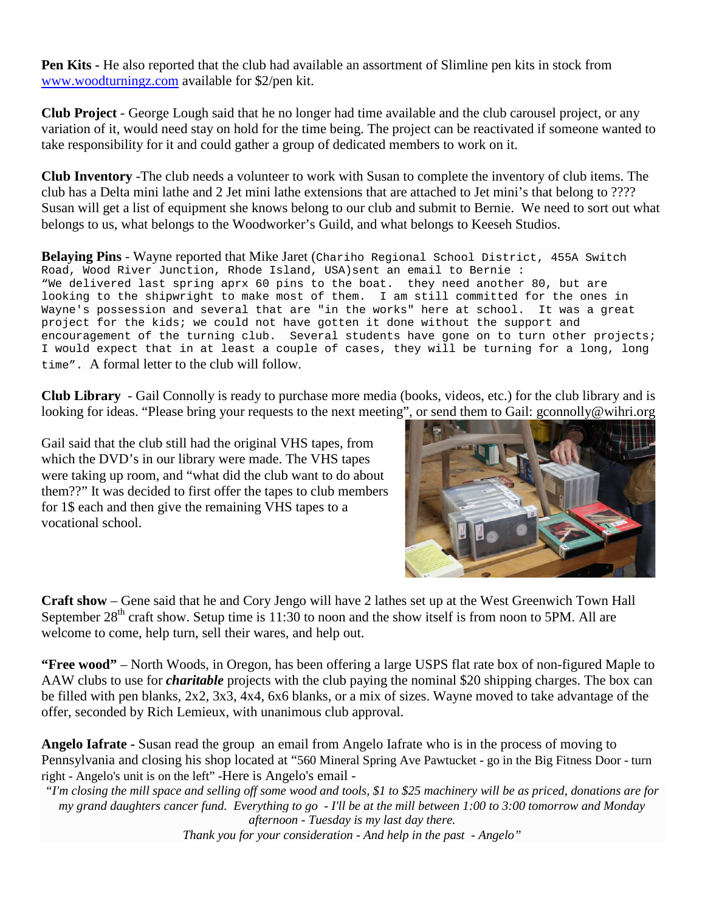**Pen Kits -** He also reported that the club had available an assortment of Slimline pen kits in stock from [www.woodturningz.com](http://www.woodturningz.com/) available for \$2/pen kit.

**Club Project** - George Lough said that he no longer had time available and the club carousel project, or any variation of it, would need stay on hold for the time being. The project can be reactivated if someone wanted to take responsibility for it and could gather a group of dedicated members to work on it.

**Club Inventory** -The club needs a volunteer to work with Susan to complete the inventory of club items. The club has a Delta mini lathe and 2 Jet mini lathe extensions that are attached to Jet mini's that belong to ???? Susan will get a list of equipment she knows belong to our club and submit to Bernie. We need to sort out what belongs to us, what belongs to the Woodworker's Guild, and what belongs to Keeseh Studios.

**Belaying Pins** - Wayne reported that Mike Jaret (Chariho Regional School District, 455A Switch Road, Wood River Junction, Rhode Island, USA)sent an email to Bernie : "We delivered last spring aprx 60 pins to the boat. they need another 80, but are looking to the shipwright to make most of them. I am still committed for the ones in Wayne's possession and several that are "in the works" here at school. It was a great project for the kids; we could not have gotten it done without the support and encouragement of the turning club. Several students have gone on to turn other projects; I would expect that in at least a couple of cases, they will be turning for a long, long time". A formal letter to the club will follow.

**Club Library** - Gail Connolly is ready to purchase more media (books, videos, etc.) for the club library and is looking for ideas. "Please bring your requests to the next meeting", or send them to Gail: gconnolly@wihri.org

Gail said that the club still had the original VHS tapes, from which the DVD's in our library were made. The VHS tapes were taking up room, and "what did the club want to do about them??" It was decided to first offer the tapes to club members for 1\$ each and then give the remaining VHS tapes to a vocational school.



**Craft show** – Gene said that he and Cory Jengo will have 2 lathes set up at the West Greenwich Town Hall September  $28<sup>th</sup>$  craft show. Setup time is 11:30 to noon and the show itself is from noon to 5PM. All are welcome to come, help turn, sell their wares, and help out.

**"Free wood"** – North Woods, in Oregon, has been offering a large USPS flat rate box of non-figured Maple to AAW clubs to use for *charitable* projects with the club paying the nominal \$20 shipping charges. The box can be filled with pen blanks, 2x2, 3x3, 4x4, 6x6 blanks, or a mix of sizes. Wayne moved to take advantage of the offer, seconded by Rich Lemieux, with unanimous club approval.

**Angelo Iafrate -** Susan read the group an email from Angelo Iafrate who is in the process of moving to Pennsylvania and closing his shop located at "560 Mineral Spring Ave Pawtucket - go in the Big Fitness Door - turn right - Angelo's unit is on the left" -Here is Angelo's email -

*"I'm closing the mill space and selling off some wood and tools, \$1 to \$25 machinery will be as priced, donations are for my grand daughters cancer fund. Everything to go - I'll be at the mill between 1:00 to 3:00 tomorrow and Monday afternoon - Tuesday is my last day there.*

*Thank you for your consideration - And help in the past - Angelo"*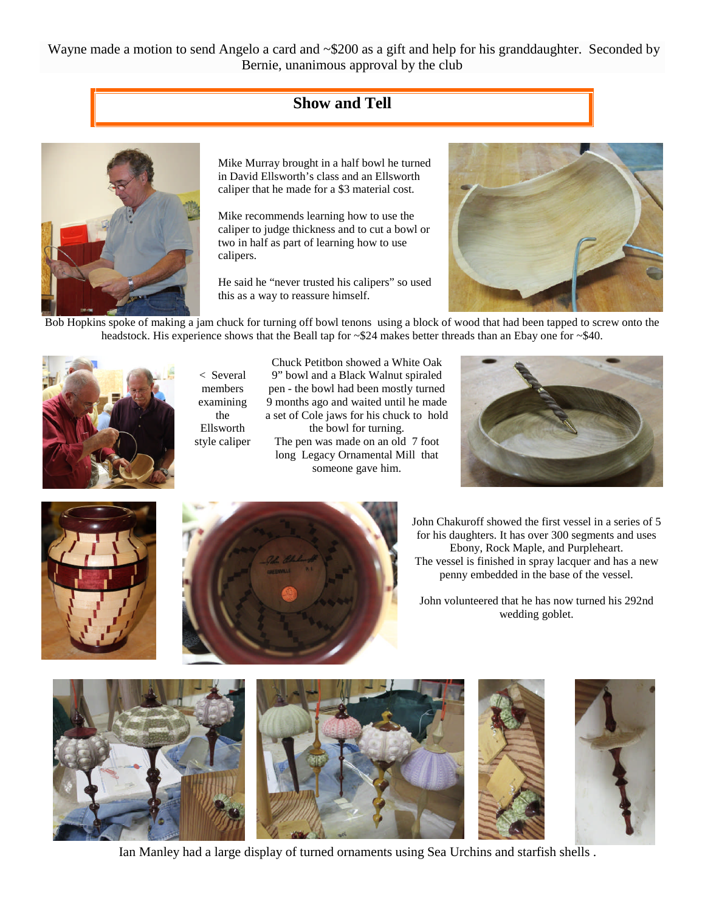Wayne made a motion to send Angelo a card and  $\sim$ \$200 as a gift and help for his granddaughter. Seconded by Bernie, unanimous approval by the club

## **Show and Tell**



Mike Murray brought in a half bowl he turned in David Ellsworth's class and an Ellsworth caliper that he made for a \$3 material cost.

Mike recommends learning how to use the caliper to judge thickness and to cut a bowl or two in half as part of learning how to use calipers.

He said he "never trusted his calipers" so used this as a way to reassure himself.



Bob Hopkins spoke of making a jam chuck for turning off bowl tenons using a block of wood that had been tapped to screw onto the headstock. His experience shows that the Beall tap for ~\$24 makes better threads than an Ebay one for ~\$40.



< Several members examining the Ellsworth style caliper

Chuck Petitbon showed a White Oak 9" bowl and a Black Walnut spiraled pen - the bowl had been mostly turned 9 months ago and waited until he made a set of Cole jaws for his chuck to hold the bowl for turning.

The pen was made on an old 7 foot long Legacy Ornamental Mill that someone gave him.







John Chakuroff showed the first vessel in a series of 5 for his daughters. It has over 300 segments and uses Ebony, Rock Maple, and Purpleheart. The vessel is finished in spray lacquer and has a new penny embedded in the base of the vessel.

John volunteered that he has now turned his 292nd wedding goblet.



Ian Manley had a large display of turned ornaments using Sea Urchins and starfish shells .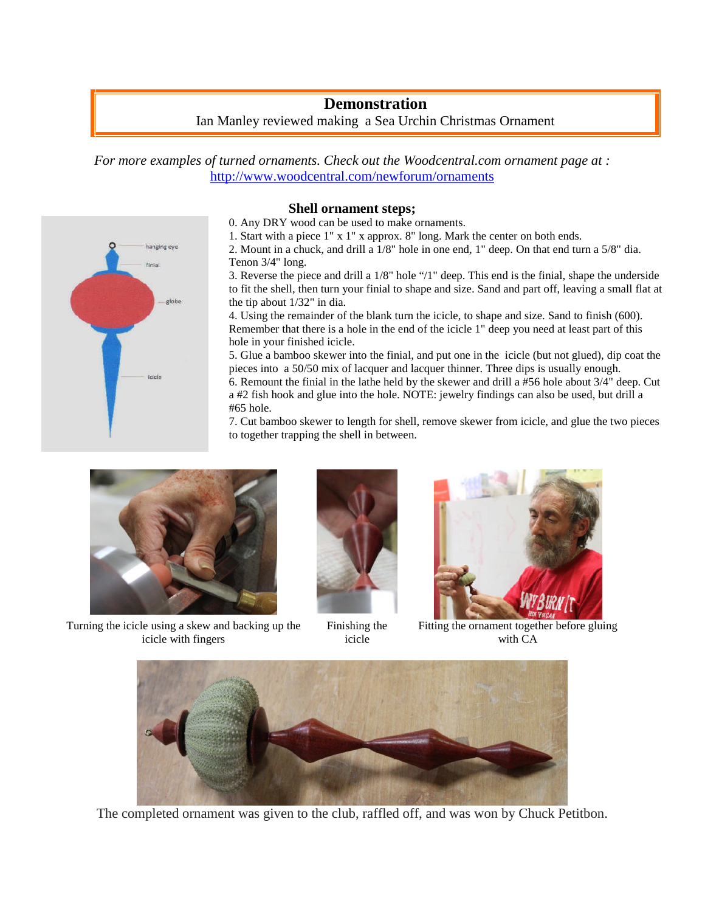## **Demonstration** Ian Manley reviewed making a Sea Urchin Christmas Ornament

*For more examples of turned ornaments. Check out the Woodcentral.com ornament page at :* <http://www.woodcentral.com/newforum/ornaments>



#### **Shell ornament steps;**

0. Any DRY wood can be used to make ornaments.

1. Start with a piece 1" x 1" x approx. 8" long. Mark the center on both ends.

2. Mount in a chuck, and drill a 1/8" hole in one end, 1" deep. On that end turn a 5/8" dia. Tenon 3/4" long.

3. Reverse the piece and drill a 1/8" hole "/1" deep. This end is the finial, shape the underside to fit the shell, then turn your finial to shape and size. Sand and part off, leaving a small flat at the tip about 1/32" in dia.

4. Using the remainder of the blank turn the icicle, to shape and size. Sand to finish (600). Remember that there is a hole in the end of the icicle 1" deep you need at least part of this hole in your finished icicle.

5. Glue a bamboo skewer into the finial, and put one in the icicle (but not glued), dip coat the pieces into a 50/50 mix of lacquer and lacquer thinner. Three dips is usually enough.

6. Remount the finial in the lathe held by the skewer and drill a #56 hole about 3/4" deep. Cut a #2 fish hook and glue into the hole. NOTE: jewelry findings can also be used, but drill a #65 hole.

7. Cut bamboo skewer to length for shell, remove skewer from icicle, and glue the two pieces to together trapping the shell in between.



Turning the icicle using a skew and backing up the icicle with fingers



Finishing the icicle



Fitting the ornament together before gluing with CA



The completed ornament was given to the club, raffled off, and was won by Chuck Petitbon.